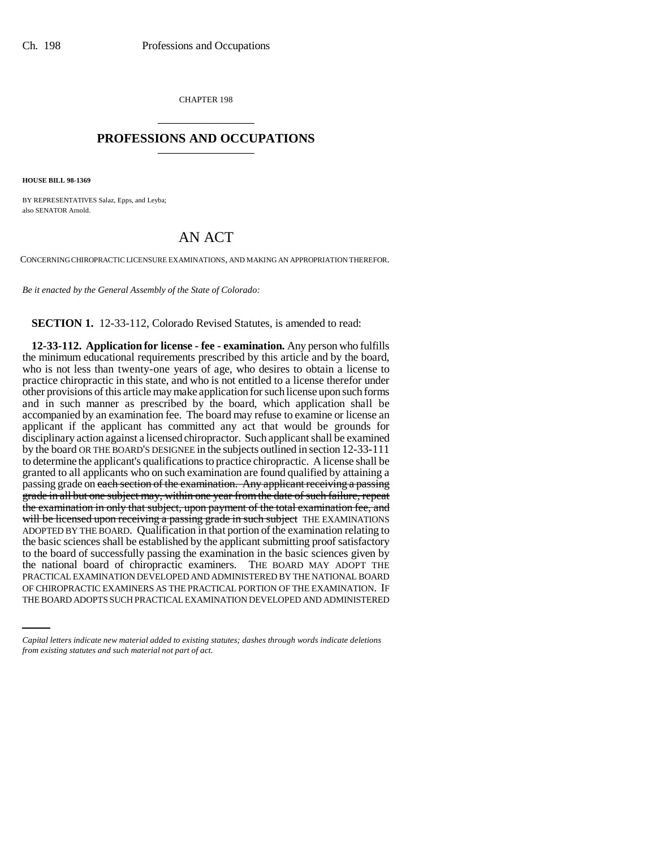CHAPTER 198 \_\_\_\_\_\_\_\_\_\_\_\_\_\_\_

## **PROFESSIONS AND OCCUPATIONS** \_\_\_\_\_\_\_\_\_\_\_\_\_\_\_

**HOUSE BILL 98-1369**

BY REPRESENTATIVES Salaz, Epps, and Leyba; also SENATOR Arnold.

## AN ACT

CONCERNING CHIROPRACTIC LICENSURE EXAMINATIONS, AND MAKING AN APPROPRIATION THEREFOR.

*Be it enacted by the General Assembly of the State of Colorado:*

**SECTION 1.** 12-33-112, Colorado Revised Statutes, is amended to read:

PRACTICAL EXAMINATION DEVELOPED AND ADMINISTERED BY THE NATIONAL BOARD **12-33-112. Application for license - fee - examination.** Any person who fulfills the minimum educational requirements prescribed by this article and by the board, who is not less than twenty-one years of age, who desires to obtain a license to practice chiropractic in this state, and who is not entitled to a license therefor under other provisions of this article may make application for such license upon such forms and in such manner as prescribed by the board, which application shall be accompanied by an examination fee. The board may refuse to examine or license an applicant if the applicant has committed any act that would be grounds for disciplinary action against a licensed chiropractor. Such applicant shall be examined by the board OR THE BOARD'S DESIGNEE in the subjects outlined in section 12-33-111 to determine the applicant's qualifications to practice chiropractic. A license shall be granted to all applicants who on such examination are found qualified by attaining a passing grade on each section of the examination. Any applicant receiving a passing grade in all but one subject may, within one year from the date of such failure, repeat the examination in only that subject, upon payment of the total examination fee, and will be licensed upon receiving a passing grade in such subject THE EXAMINATIONS ADOPTED BY THE BOARD. Qualification in that portion of the examination relating to the basic sciences shall be established by the applicant submitting proof satisfactory to the board of successfully passing the examination in the basic sciences given by the national board of chiropractic examiners. THE BOARD MAY ADOPT THE OF CHIROPRACTIC EXAMINERS AS THE PRACTICAL PORTION OF THE EXAMINATION. IF THE BOARD ADOPTS SUCH PRACTICAL EXAMINATION DEVELOPED AND ADMINISTERED

*Capital letters indicate new material added to existing statutes; dashes through words indicate deletions from existing statutes and such material not part of act.*